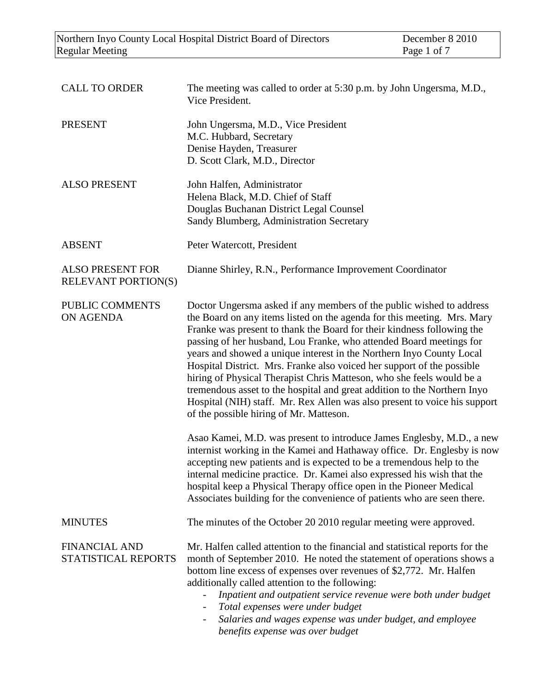| <b>CALL TO ORDER</b>                                  | The meeting was called to order at 5:30 p.m. by John Ungersma, M.D.,<br>Vice President.                                                                                                                                                                                                                                                                                                                                                                                                                                                                                                                                                                                                                                         |
|-------------------------------------------------------|---------------------------------------------------------------------------------------------------------------------------------------------------------------------------------------------------------------------------------------------------------------------------------------------------------------------------------------------------------------------------------------------------------------------------------------------------------------------------------------------------------------------------------------------------------------------------------------------------------------------------------------------------------------------------------------------------------------------------------|
| <b>PRESENT</b>                                        | John Ungersma, M.D., Vice President<br>M.C. Hubbard, Secretary<br>Denise Hayden, Treasurer<br>D. Scott Clark, M.D., Director                                                                                                                                                                                                                                                                                                                                                                                                                                                                                                                                                                                                    |
| <b>ALSO PRESENT</b>                                   | John Halfen, Administrator<br>Helena Black, M.D. Chief of Staff<br>Douglas Buchanan District Legal Counsel<br>Sandy Blumberg, Administration Secretary                                                                                                                                                                                                                                                                                                                                                                                                                                                                                                                                                                          |
| <b>ABSENT</b>                                         | Peter Watercott, President                                                                                                                                                                                                                                                                                                                                                                                                                                                                                                                                                                                                                                                                                                      |
| <b>ALSO PRESENT FOR</b><br><b>RELEVANT PORTION(S)</b> | Dianne Shirley, R.N., Performance Improvement Coordinator                                                                                                                                                                                                                                                                                                                                                                                                                                                                                                                                                                                                                                                                       |
| PUBLIC COMMENTS<br>ON AGENDA                          | Doctor Ungersma asked if any members of the public wished to address<br>the Board on any items listed on the agenda for this meeting. Mrs. Mary<br>Franke was present to thank the Board for their kindness following the<br>passing of her husband, Lou Franke, who attended Board meetings for<br>years and showed a unique interest in the Northern Inyo County Local<br>Hospital District. Mrs. Franke also voiced her support of the possible<br>hiring of Physical Therapist Chris Matteson, who she feels would be a<br>tremendous asset to the hospital and great addition to the Northern Inyo<br>Hospital (NIH) staff. Mr. Rex Allen was also present to voice his support<br>of the possible hiring of Mr. Matteson. |
|                                                       | Asao Kamei, M.D. was present to introduce James Englesby, M.D., a new<br>internist working in the Kamei and Hathaway office. Dr. Englesby is now<br>accepting new patients and is expected to be a tremendous help to the<br>internal medicine practice. Dr. Kamei also expressed his wish that the<br>hospital keep a Physical Therapy office open in the Pioneer Medical<br>Associates building for the convenience of patients who are seen there.                                                                                                                                                                                                                                                                           |
| <b>MINUTES</b>                                        | The minutes of the October 20 2010 regular meeting were approved.                                                                                                                                                                                                                                                                                                                                                                                                                                                                                                                                                                                                                                                               |
| <b>FINANCIAL AND</b><br>STATISTICAL REPORTS           | Mr. Halfen called attention to the financial and statistical reports for the<br>month of September 2010. He noted the statement of operations shows a<br>bottom line excess of expenses over revenues of \$2,772. Mr. Halfen<br>additionally called attention to the following:<br>Inpatient and outpatient service revenue were both under budget<br>Total expenses were under budget<br>Salaries and wages expense was under budget, and employee<br>$\overline{\phantom{a}}$<br>benefits expense was over budget                                                                                                                                                                                                             |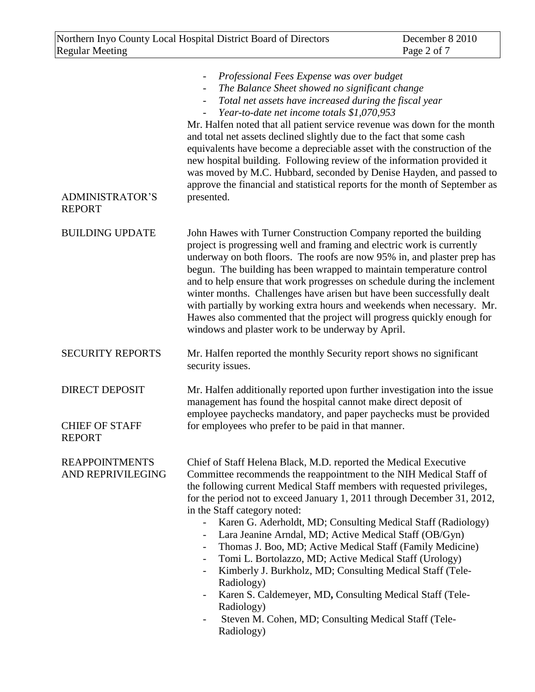| <b>ADMINISTRATOR'S</b><br><b>REPORT</b>                         | Professional Fees Expense was over budget<br>The Balance Sheet showed no significant change<br>Total net assets have increased during the fiscal year<br>Year-to-date net income totals \$1,070,953<br>Mr. Halfen noted that all patient service revenue was down for the month<br>and total net assets declined slightly due to the fact that some cash<br>equivalents have become a depreciable asset with the construction of the<br>new hospital building. Following review of the information provided it<br>was moved by M.C. Hubbard, seconded by Denise Hayden, and passed to<br>approve the financial and statistical reports for the month of September as<br>presented.                                                                                                                                                                              |
|-----------------------------------------------------------------|-----------------------------------------------------------------------------------------------------------------------------------------------------------------------------------------------------------------------------------------------------------------------------------------------------------------------------------------------------------------------------------------------------------------------------------------------------------------------------------------------------------------------------------------------------------------------------------------------------------------------------------------------------------------------------------------------------------------------------------------------------------------------------------------------------------------------------------------------------------------|
| <b>BUILDING UPDATE</b>                                          | John Hawes with Turner Construction Company reported the building<br>project is progressing well and framing and electric work is currently<br>underway on both floors. The roofs are now 95% in, and plaster prep has<br>begun. The building has been wrapped to maintain temperature control<br>and to help ensure that work progresses on schedule during the inclement<br>winter months. Challenges have arisen but have been successfully dealt<br>with partially by working extra hours and weekends when necessary. Mr.<br>Hawes also commented that the project will progress quickly enough for<br>windows and plaster work to be underway by April.                                                                                                                                                                                                   |
| <b>SECURITY REPORTS</b>                                         | Mr. Halfen reported the monthly Security report shows no significant<br>security issues.                                                                                                                                                                                                                                                                                                                                                                                                                                                                                                                                                                                                                                                                                                                                                                        |
| <b>DIRECT DEPOSIT</b><br><b>CHIEF OF STAFF</b><br><b>REPORT</b> | Mr. Halfen additionally reported upon further investigation into the issue<br>management has found the hospital cannot make direct deposit of<br>employee paychecks mandatory, and paper paychecks must be provided<br>for employees who prefer to be paid in that manner.                                                                                                                                                                                                                                                                                                                                                                                                                                                                                                                                                                                      |
| <b>REAPPOINTMENTS</b><br>AND REPRIVILEGING                      | Chief of Staff Helena Black, M.D. reported the Medical Executive<br>Committee recommends the reappointment to the NIH Medical Staff of<br>the following current Medical Staff members with requested privileges,<br>for the period not to exceed January 1, 2011 through December 31, 2012,<br>in the Staff category noted:<br>Karen G. Aderholdt, MD; Consulting Medical Staff (Radiology)<br>Lara Jeanine Arndal, MD; Active Medical Staff (OB/Gyn)<br>Thomas J. Boo, MD; Active Medical Staff (Family Medicine)<br>Tomi L. Bortolazzo, MD; Active Medical Staff (Urology)<br>$\overline{\phantom{a}}$<br>Kimberly J. Burkholz, MD; Consulting Medical Staff (Tele-<br>$\overline{\phantom{a}}$<br>Radiology)<br>Karen S. Caldemeyer, MD, Consulting Medical Staff (Tele-<br>Radiology)<br>Steven M. Cohen, MD; Consulting Medical Staff (Tele-<br>Radiology) |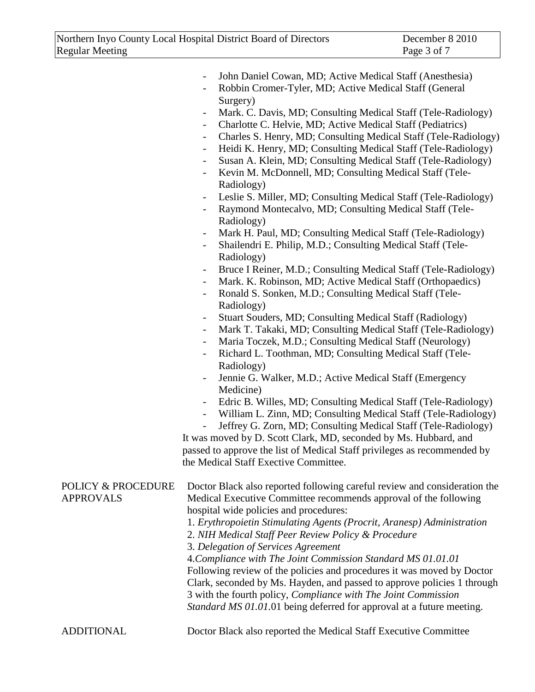|                                                   | John Daniel Cowan, MD; Active Medical Staff (Anesthesia)<br>Robbin Cromer-Tyler, MD; Active Medical Staff (General<br>$\overline{\phantom{0}}$                                          |  |
|---------------------------------------------------|-----------------------------------------------------------------------------------------------------------------------------------------------------------------------------------------|--|
|                                                   | Surgery)<br>Mark. C. Davis, MD; Consulting Medical Staff (Tele-Radiology)<br>$\overline{\phantom{a}}$                                                                                   |  |
|                                                   | Charlotte C. Helvie, MD; Active Medical Staff (Pediatrics)<br>$\overline{\phantom{0}}$<br>Charles S. Henry, MD; Consulting Medical Staff (Tele-Radiology)<br>$\overline{\phantom{a}}$   |  |
|                                                   | Heidi K. Henry, MD; Consulting Medical Staff (Tele-Radiology)<br>$\overline{\phantom{0}}$                                                                                               |  |
|                                                   | Susan A. Klein, MD; Consulting Medical Staff (Tele-Radiology)<br>$\overline{\phantom{0}}$                                                                                               |  |
|                                                   | Kevin M. McDonnell, MD; Consulting Medical Staff (Tele-<br>$\overline{\phantom{a}}$                                                                                                     |  |
|                                                   | Radiology)                                                                                                                                                                              |  |
|                                                   | Leslie S. Miller, MD; Consulting Medical Staff (Tele-Radiology)<br>$\overline{\phantom{a}}$                                                                                             |  |
|                                                   | Raymond Montecalvo, MD; Consulting Medical Staff (Tele-<br>$\qquad \qquad \blacksquare$                                                                                                 |  |
|                                                   | Radiology)                                                                                                                                                                              |  |
|                                                   | Mark H. Paul, MD; Consulting Medical Staff (Tele-Radiology)<br>$\overline{\phantom{a}}$                                                                                                 |  |
|                                                   | Shailendri E. Philip, M.D.; Consulting Medical Staff (Tele-<br>$\overline{\phantom{0}}$                                                                                                 |  |
|                                                   | Radiology)                                                                                                                                                                              |  |
|                                                   | Bruce I Reiner, M.D.; Consulting Medical Staff (Tele-Radiology)<br>$\overline{\phantom{a}}$                                                                                             |  |
|                                                   | Mark. K. Robinson, MD; Active Medical Staff (Orthopaedics)<br>$\overline{\phantom{a}}$                                                                                                  |  |
|                                                   | Ronald S. Sonken, M.D.; Consulting Medical Staff (Tele-<br>$\blacksquare$                                                                                                               |  |
|                                                   | Radiology)                                                                                                                                                                              |  |
|                                                   | Stuart Souders, MD; Consulting Medical Staff (Radiology)<br>$\overline{\phantom{a}}$                                                                                                    |  |
|                                                   | Mark T. Takaki, MD; Consulting Medical Staff (Tele-Radiology)<br>$\overline{\phantom{a}}$                                                                                               |  |
|                                                   | Maria Toczek, M.D.; Consulting Medical Staff (Neurology)                                                                                                                                |  |
|                                                   | Richard L. Toothman, MD; Consulting Medical Staff (Tele-                                                                                                                                |  |
|                                                   | Radiology)                                                                                                                                                                              |  |
|                                                   | Jennie G. Walker, M.D.; Active Medical Staff (Emergency                                                                                                                                 |  |
|                                                   | Medicine)<br>Edric B. Willes, MD; Consulting Medical Staff (Tele-Radiology)                                                                                                             |  |
|                                                   | $\overline{\phantom{a}}$<br>William L. Zinn, MD; Consulting Medical Staff (Tele-Radiology)<br>$\overline{\phantom{a}}$                                                                  |  |
|                                                   | Jeffrey G. Zorn, MD; Consulting Medical Staff (Tele-Radiology)                                                                                                                          |  |
|                                                   | It was moved by D. Scott Clark, MD, seconded by Ms. Hubbard, and                                                                                                                        |  |
|                                                   | passed to approve the list of Medical Staff privileges as recommended by                                                                                                                |  |
|                                                   | the Medical Staff Exective Committee.                                                                                                                                                   |  |
|                                                   |                                                                                                                                                                                         |  |
| <b>POLICY &amp; PROCEDURE</b><br><b>APPROVALS</b> | Doctor Black also reported following careful review and consideration the<br>Medical Executive Committee recommends approval of the following<br>hospital wide policies and procedures: |  |
|                                                   | 1. Erythropoietin Stimulating Agents (Procrit, Aranesp) Administration                                                                                                                  |  |
|                                                   | 2. NIH Medical Staff Peer Review Policy & Procedure                                                                                                                                     |  |
|                                                   | 3. Delegation of Services Agreement                                                                                                                                                     |  |
|                                                   | 4. Compliance with The Joint Commission Standard MS 01.01.01                                                                                                                            |  |
|                                                   | Following review of the policies and procedures it was moved by Doctor                                                                                                                  |  |
|                                                   | Clark, seconded by Ms. Hayden, and passed to approve policies 1 through                                                                                                                 |  |
|                                                   | 3 with the fourth policy, Compliance with The Joint Commission                                                                                                                          |  |
|                                                   | Standard MS 01.01.01 being deferred for approval at a future meeting.                                                                                                                   |  |
| ADDITIONAL                                        | Doctor Black also reported the Medical Staff Executive Committee                                                                                                                        |  |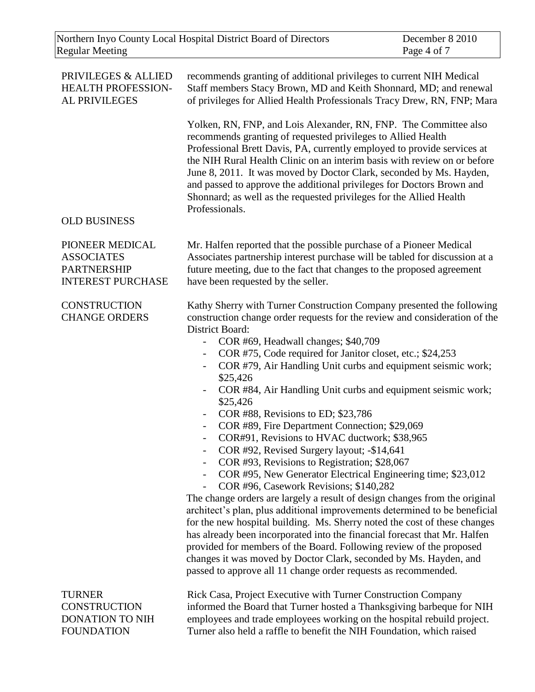| Northern Inyo County Local Hospital District Board of Directors |                                                                     | December 8 2010 |
|-----------------------------------------------------------------|---------------------------------------------------------------------|-----------------|
| <b>Regular Meeting</b>                                          |                                                                     | Page 4 of 7     |
|                                                                 |                                                                     |                 |
| PRIVILEGES & ALLIED                                             | recommends granting of additional privileges to current NIH Medical |                 |
| <b>HEALTH PROFESSION-</b>                                       | Staff members Stacy Brown, MD and Keith Shonnard, MD; and renewal   |                 |

Yolken, RN, FNP, and Lois Alexander, RN, FNP. The Committee also recommends granting of requested privileges to Allied Health Professional Brett Davis, PA, currently employed to provide services at the NIH Rural Health Clinic on an interim basis with review on or before June 8, 2011. It was moved by Doctor Clark, seconded by Ms. Hayden, and passed to approve the additional privileges for Doctors Brown and Shonnard; as well as the requested privileges for the Allied Health **Professionals** 

of privileges for Allied Health Professionals Tracy Drew, RN, FNP; Mara

## OLD BUSINESS

AL PRIVILEGES

PIONEER MEDICAL **ASSOCIATES** PARTNERSHIP INTEREST PURCHASE

**CONSTRUCTION** CHANGE ORDERS Mr. Halfen reported that the possible purchase of a Pioneer Medical Associates partnership interest purchase will be tabled for discussion at a future meeting, due to the fact that changes to the proposed agreement have been requested by the seller.

Kathy Sherry with Turner Construction Company presented the following construction change order requests for the review and consideration of the District Board:

- COR #69, Headwall changes; \$40,709
	- COR #75, Code required for Janitor closet, etc.; \$24,253
- COR #79, Air Handling Unit curbs and equipment seismic work; \$25,426
- COR #84, Air Handling Unit curbs and equipment seismic work; \$25,426
- COR #88, Revisions to ED; \$23,786
- COR #89, Fire Department Connection; \$29,069
- COR#91, Revisions to HVAC ductwork; \$38,965
- COR #92, Revised Surgery layout; -\$14,641
- COR #93, Revisions to Registration; \$28,067
- COR #95, New Generator Electrical Engineering time; \$23,012
- COR #96, Casework Revisions; \$140,282

The change orders are largely a result of design changes from the original architect's plan, plus additional improvements determined to be beneficial for the new hospital building. Ms. Sherry noted the cost of these changes has already been incorporated into the financial forecast that Mr. Halfen provided for members of the Board. Following review of the proposed changes it was moved by Doctor Clark, seconded by Ms. Hayden, and passed to approve all 11 change order requests as recommended.

TURNER **CONSTRUCTION** DONATION TO NIH FOUNDATION

Rick Casa, Project Executive with Turner Construction Company informed the Board that Turner hosted a Thanksgiving barbeque for NIH employees and trade employees working on the hospital rebuild project. Turner also held a raffle to benefit the NIH Foundation, which raised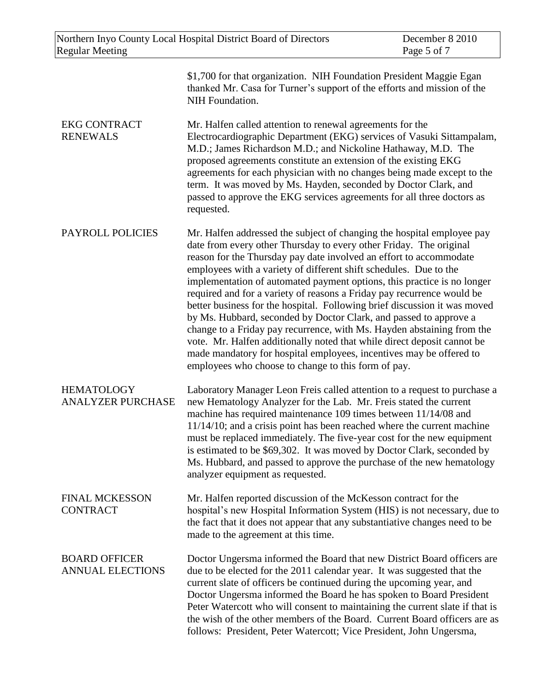| Northern Inyo County Local Hospital District Board of Directors<br><b>Regular Meeting</b> |                                                                                                                                                                                                                                                                                                                                                                                                                                                                                                                                                                                                                                                                                                                                                                                                                                                                                   | December 8 2010<br>Page 5 of 7 |
|-------------------------------------------------------------------------------------------|-----------------------------------------------------------------------------------------------------------------------------------------------------------------------------------------------------------------------------------------------------------------------------------------------------------------------------------------------------------------------------------------------------------------------------------------------------------------------------------------------------------------------------------------------------------------------------------------------------------------------------------------------------------------------------------------------------------------------------------------------------------------------------------------------------------------------------------------------------------------------------------|--------------------------------|
|                                                                                           | \$1,700 for that organization. NIH Foundation President Maggie Egan<br>thanked Mr. Casa for Turner's support of the efforts and mission of the<br>NIH Foundation.                                                                                                                                                                                                                                                                                                                                                                                                                                                                                                                                                                                                                                                                                                                 |                                |
| <b>EKG CONTRACT</b><br><b>RENEWALS</b>                                                    | Mr. Halfen called attention to renewal agreements for the<br>Electrocardiographic Department (EKG) services of Vasuki Sittampalam,<br>M.D.; James Richardson M.D.; and Nickoline Hathaway, M.D. The<br>proposed agreements constitute an extension of the existing EKG<br>agreements for each physician with no changes being made except to the<br>term. It was moved by Ms. Hayden, seconded by Doctor Clark, and<br>passed to approve the EKG services agreements for all three doctors as<br>requested.                                                                                                                                                                                                                                                                                                                                                                       |                                |
| PAYROLL POLICIES                                                                          | Mr. Halfen addressed the subject of changing the hospital employee pay<br>date from every other Thursday to every other Friday. The original<br>reason for the Thursday pay date involved an effort to accommodate<br>employees with a variety of different shift schedules. Due to the<br>implementation of automated payment options, this practice is no longer<br>required and for a variety of reasons a Friday pay recurrence would be<br>better business for the hospital. Following brief discussion it was moved<br>by Ms. Hubbard, seconded by Doctor Clark, and passed to approve a<br>change to a Friday pay recurrence, with Ms. Hayden abstaining from the<br>vote. Mr. Halfen additionally noted that while direct deposit cannot be<br>made mandatory for hospital employees, incentives may be offered to<br>employees who choose to change to this form of pay. |                                |
| <b>HEMATOLOGY</b><br><b>ANALYZER PURCHASE</b>                                             | Laboratory Manager Leon Freis called attention to a request to purchase a<br>new Hematology Analyzer for the Lab. Mr. Freis stated the current<br>machine has required maintenance 109 times between 11/14/08 and<br>$11/14/10$ ; and a crisis point has been reached where the current machine<br>must be replaced immediately. The five-year cost for the new equipment<br>is estimated to be \$69,302. It was moved by Doctor Clark, seconded by<br>Ms. Hubbard, and passed to approve the purchase of the new hematology<br>analyzer equipment as requested.                                                                                                                                                                                                                                                                                                                  |                                |
| <b>FINAL MCKESSON</b><br><b>CONTRACT</b>                                                  | Mr. Halfen reported discussion of the McKesson contract for the<br>hospital's new Hospital Information System (HIS) is not necessary, due to<br>the fact that it does not appear that any substantiative changes need to be<br>made to the agreement at this time.                                                                                                                                                                                                                                                                                                                                                                                                                                                                                                                                                                                                                |                                |
| <b>BOARD OFFICER</b><br><b>ANNUAL ELECTIONS</b>                                           | Doctor Ungersma informed the Board that new District Board officers are<br>due to be elected for the 2011 calendar year. It was suggested that the<br>current slate of officers be continued during the upcoming year, and<br>Doctor Ungersma informed the Board he has spoken to Board President<br>Peter Watercott who will consent to maintaining the current slate if that is<br>the wish of the other members of the Board. Current Board officers are as<br>follows: President, Peter Watercott; Vice President, John Ungersma,                                                                                                                                                                                                                                                                                                                                             |                                |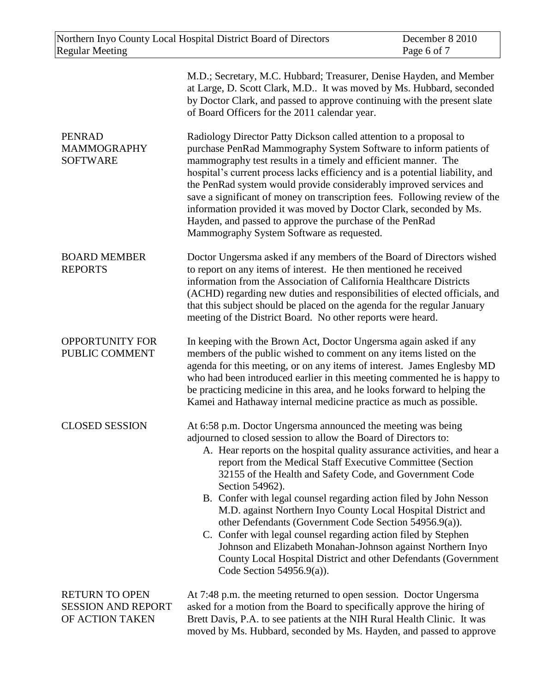| <b>Regular Meeting</b>                                                | Northern Inyo County Local Hospital District Board of Directors                                                                                                                                                                                                                                                                                                                                                                                                                                                                                                                                                                                                                                                                                                                               | December 8 2010<br>Page 6 of 7 |
|-----------------------------------------------------------------------|-----------------------------------------------------------------------------------------------------------------------------------------------------------------------------------------------------------------------------------------------------------------------------------------------------------------------------------------------------------------------------------------------------------------------------------------------------------------------------------------------------------------------------------------------------------------------------------------------------------------------------------------------------------------------------------------------------------------------------------------------------------------------------------------------|--------------------------------|
|                                                                       | M.D.; Secretary, M.C. Hubbard; Treasurer, Denise Hayden, and Member<br>at Large, D. Scott Clark, M.D It was moved by Ms. Hubbard, seconded<br>by Doctor Clark, and passed to approve continuing with the present slate<br>of Board Officers for the 2011 calendar year.                                                                                                                                                                                                                                                                                                                                                                                                                                                                                                                       |                                |
| <b>PENRAD</b><br><b>MAMMOGRAPHY</b><br><b>SOFTWARE</b>                | Radiology Director Patty Dickson called attention to a proposal to<br>purchase PenRad Mammography System Software to inform patients of<br>mammography test results in a timely and efficient manner. The<br>hospital's current process lacks efficiency and is a potential liability, and<br>the PenRad system would provide considerably improved services and<br>save a significant of money on transcription fees. Following review of the<br>information provided it was moved by Doctor Clark, seconded by Ms.<br>Hayden, and passed to approve the purchase of the PenRad<br>Mammography System Software as requested.                                                                                                                                                                 |                                |
| <b>BOARD MEMBER</b><br><b>REPORTS</b>                                 | Doctor Ungersma asked if any members of the Board of Directors wished<br>to report on any items of interest. He then mentioned he received<br>information from the Association of California Healthcare Districts<br>(ACHD) regarding new duties and responsibilities of elected officials, and<br>that this subject should be placed on the agenda for the regular January<br>meeting of the District Board. No other reports were heard.                                                                                                                                                                                                                                                                                                                                                    |                                |
| <b>OPPORTUNITY FOR</b><br>PUBLIC COMMENT                              | In keeping with the Brown Act, Doctor Ungersma again asked if any<br>members of the public wished to comment on any items listed on the<br>agenda for this meeting, or on any items of interest. James Englesby MD<br>who had been introduced earlier in this meeting commented he is happy to<br>be practicing medicine in this area, and he looks forward to helping the<br>Kamei and Hathaway internal medicine practice as much as possible.                                                                                                                                                                                                                                                                                                                                              |                                |
| <b>CLOSED SESSION</b>                                                 | At 6:58 p.m. Doctor Ungersma announced the meeting was being<br>adjourned to closed session to allow the Board of Directors to:<br>A. Hear reports on the hospital quality assurance activities, and hear a<br>report from the Medical Staff Executive Committee (Section<br>32155 of the Health and Safety Code, and Government Code<br>Section 54962).<br>B. Confer with legal counsel regarding action filed by John Nesson<br>M.D. against Northern Inyo County Local Hospital District and<br>other Defendants (Government Code Section 54956.9(a)).<br>C. Confer with legal counsel regarding action filed by Stephen<br>Johnson and Elizabeth Monahan-Johnson against Northern Inyo<br>County Local Hospital District and other Defendants (Government<br>Code Section $54956.9(a)$ ). |                                |
| <b>RETURN TO OPEN</b><br><b>SESSION AND REPORT</b><br>OF ACTION TAKEN | At 7:48 p.m. the meeting returned to open session. Doctor Ungersma<br>asked for a motion from the Board to specifically approve the hiring of<br>Brett Davis, P.A. to see patients at the NIH Rural Health Clinic. It was                                                                                                                                                                                                                                                                                                                                                                                                                                                                                                                                                                     |                                |

moved by Ms. Hubbard, seconded by Ms. Hayden, and passed to approve